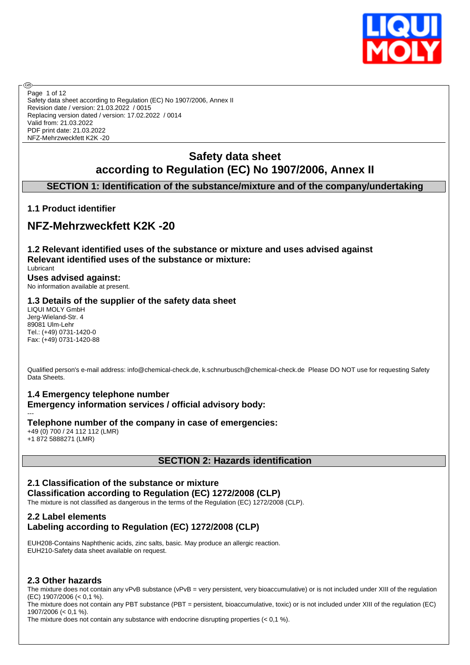

**®** Page 1 of 12Safety data sheet according to Regulation (EC) No 1907/2006, Annex II Revision date / version: 21.03.2022 / 0015 Replacing version dated / version: 17.02.2022 / 0014 Valid from: 21.03.2022 PDF print date: 21.03.2022 NFZ-Mehrzweckfett K2K -20

# **Safety data sheet according to Regulation (EC) No 1907/2006, Annex II**

# **SECTION 1: Identification of the substance/mixture and of the company/undertaking**

## **1.1 Product identifier**

# **NFZ-Mehrzweckfett K2K -20**

**1.2 Relevant identified uses of the substance or mixture and uses advised against Relevant identified uses of the substance or mixture:** Lubricant **Uses advised against:**

No information available at present.

#### **1.3 Details of the supplier of the safety data sheet**

LIQUI MOLY GmbH Jerg-Wieland-Str. 4 89081 Ulm-Lehr Tel.: (+49) 0731-1420-0 Fax: (+49) 0731-1420-88

Qualified person's e-mail address: info@chemical-check.de, k.schnurbusch@chemical-check.de Please DO NOT use for requesting Safety Data Sheets.

#### **1.4 Emergency telephone number**

**Emergency information services / official advisory body:**

**Telephone number of the company in case of emergencies:** +49 (0) 700 / 24 112 112 (LMR)

+1 872 5888271 (LMR)

---

# **SECTION 2: Hazards identification**

# **2.1 Classification of the substance or mixture Classification according to Regulation (EC) 1272/2008 (CLP)**

The mixture is not classified as dangerous in the terms of the Regulation (EC) 1272/2008 (CLP).

## **2.2 Label elements Labeling according to Regulation (EC) 1272/2008 (CLP)**

EUH208-Contains Naphthenic acids, zinc salts, basic. May produce an allergic reaction. EUH210-Safety data sheet available on request.

## **2.3 Other hazards**

The mixture does not contain any vPvB substance (vPvB = very persistent, very bioaccumulative) or is not included under XIII of the regulation (EC) 1907/2006 (< 0,1 %).

The mixture does not contain any PBT substance (PBT = persistent, bioaccumulative, toxic) or is not included under XIII of the regulation (EC) 1907/2006 (< 0,1 %).

The mixture does not contain any substance with endocrine disrupting properties (< 0,1 %).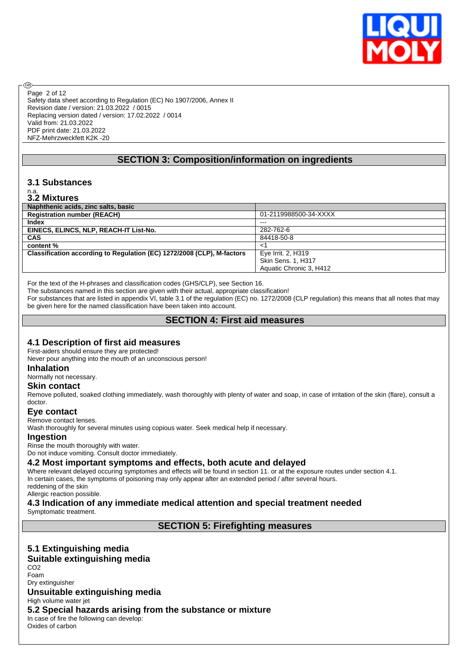

Safety data sheet according to Regulation (EC) No 1907/2006, Annex II Revision date / version: 21.03.2022 / 0015 Replacing version dated / version: 17.02.2022 / 0014 Valid from: 21.03.2022 PDF print date: 21.03.2022 NFZ-Mehrzweckfett K2K -20 Page 2 of 12

# **SECTION 3: Composition/information on ingredients**

# **3.1 Substances**

# n.a. **3.2 Mixtures**

൹

| Naphthenic acids, zinc salts, basic                                    |                           |
|------------------------------------------------------------------------|---------------------------|
| <b>Registration number (REACH)</b>                                     | 01-2119988500-34-XXXX     |
| Index                                                                  | $---$                     |
| EINECS, ELINCS, NLP, REACH-IT List-No.                                 | 282-762-6                 |
| <b>CAS</b>                                                             | 84418-50-8                |
| content %                                                              | $\lt'$                    |
| Classification according to Regulation (EC) 1272/2008 (CLP), M-factors | Eye Irrit. 2, H319        |
|                                                                        | <b>Skin Sens. 1, H317</b> |
|                                                                        | Aquatic Chronic 3. H412   |

For the text of the H-phrases and classification codes (GHS/CLP), see Section 16.

The substances named in this section are given with their actual, appropriate classification!

For substances that are listed in appendix VI, table 3.1 of the regulation (EC) no. 1272/2008 (CLP regulation) this means that all notes that may be given here for the named classification have been taken into account.

# **SECTION 4: First aid measures**

#### **4.1 Description of first aid measures**

First-aiders should ensure they are protected!

Never pour anything into the mouth of an unconscious person!

#### **Inhalation**

Normally not necessary.

#### **Skin contact**

Remove polluted, soaked clothing immediately, wash thoroughly with plenty of water and soap, in case of irritation of the skin (flare), consult a doctor.

#### **Eye contact**

Remove contact lenses.

Wash thoroughly for several minutes using copious water. Seek medical help if necessary.

#### **Ingestion**

Rinse the mouth thoroughly with water.

Do not induce vomiting. Consult doctor immediately.

## **4.2 Most important symptoms and effects, both acute and delayed**

Where relevant delayed occuring symptomes and effects will be found in section 11. or at the exposure routes under section 4.1. In certain cases, the symptoms of poisoning may only appear after an extended period / after several hours.

reddening of the skin Allergic reaction possible.

# **4.3 Indication of any immediate medical attention and special treatment needed**

Symptomatic treatment.

**SECTION 5: Firefighting measures**

# **5.1 Extinguishing media**

#### **Suitable extinguishing media**

CO2 Foam

#### Dry extinguisher **Unsuitable extinguishing media**

High volume water jet

#### **5.2 Special hazards arising from the substance or mixture**

In case of fire the following can develop: Oxides of carbon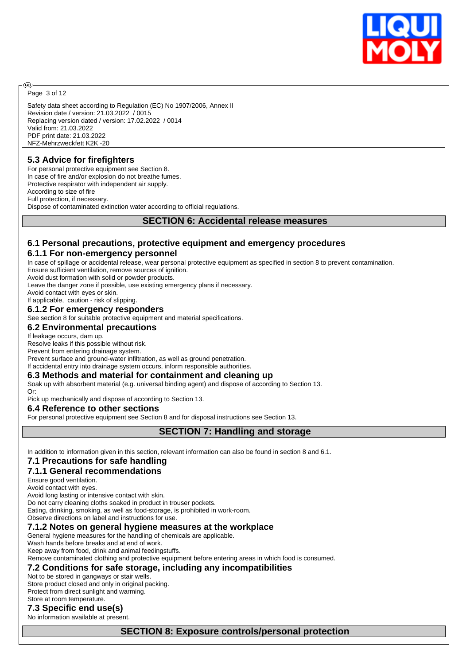

Page 3 of 12

രി

Safety data sheet according to Regulation (EC) No 1907/2006, Annex II Revision date / version: 21.03.2022 / 0015 Replacing version dated / version: 17.02.2022 / 0014 Valid from: 21.03.2022 PDF print date: 21.03.2022 NFZ-Mehrzweckfett K2K -20

# **5.3 Advice for firefighters**

For personal protective equipment see Section 8. In case of fire and/or explosion do not breathe fumes. Protective respirator with independent air supply. According to size of fire Full protection, if necessary. Dispose of contaminated extinction water according to official regulations.

#### **SECTION 6: Accidental release measures**

# **6.1 Personal precautions, protective equipment and emergency procedures**

### **6.1.1 For non-emergency personnel**

In case of spillage or accidental release, wear personal protective equipment as specified in section 8 to prevent contamination. Ensure sufficient ventilation, remove sources of ignition.

Avoid dust formation with solid or powder products.

Leave the danger zone if possible, use existing emergency plans if necessary.

Avoid contact with eyes or skin.

If applicable, caution - risk of slipping.

### **6.1.2 For emergency responders**

See section 8 for suitable protective equipment and material specifications.

#### **6.2 Environmental precautions**

If leakage occurs, dam up.

Resolve leaks if this possible without risk.

Prevent from entering drainage system.

Prevent surface and ground-water infiltration, as well as ground penetration.

If accidental entry into drainage system occurs, inform responsible authorities.

# **6.3 Methods and material for containment and cleaning up**

Soak up with absorbent material (e.g. universal binding agent) and dispose of according to Section 13.

Or: Pick up mechanically and dispose of according to Section 13.

#### **6.4 Reference to other sections**

For personal protective equipment see Section 8 and for disposal instructions see Section 13.

## **SECTION 7: Handling and storage**

In addition to information given in this section, relevant information can also be found in section 8 and 6.1.

### **7.1 Precautions for safe handling**

#### **7.1.1 General recommendations**

Ensure good ventilation.

Avoid contact with eyes.

Avoid long lasting or intensive contact with skin.

Do not carry cleaning cloths soaked in product in trouser pockets.

Eating, drinking, smoking, as well as food-storage, is prohibited in work-room.

Observe directions on label and instructions for use.

#### **7.1.2 Notes on general hygiene measures at the workplace**

General hygiene measures for the handling of chemicals are applicable.

Wash hands before breaks and at end of work.

Keep away from food, drink and animal feedingstuffs.

Remove contaminated clothing and protective equipment before entering areas in which food is consumed.

#### **7.2 Conditions for safe storage, including any incompatibilities**

#### Not to be stored in gangways or stair wells.

Store product closed and only in original packing. Protect from direct sunlight and warming. Store at room temperature.

# **7.3 Specific end use(s)**

No information available at present.

#### **SECTION 8: Exposure controls/personal protection**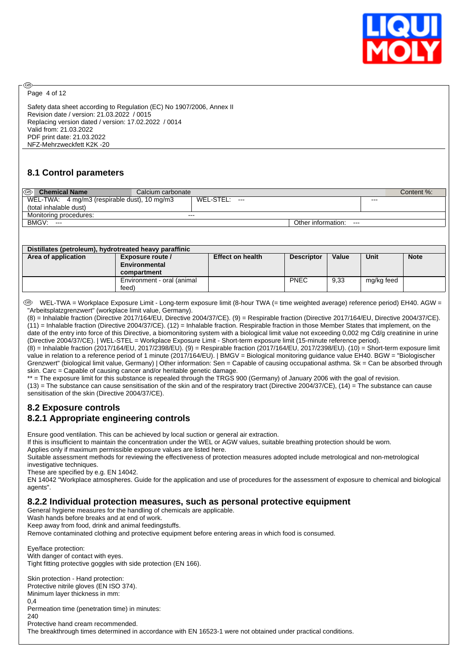

Page 4 of 12

അ

Safety data sheet according to Regulation (EC) No 1907/2006, Annex II Revision date / version: 21.03.2022 / 0015 Replacing version dated / version: 17.02.2022 / 0014 Valid from: 21.03.2022 PDF print date: 21.03.2022 NFZ-Mehrzweckfett K2K -20

### **8.1 Control parameters**

| ⊛<br><b>Chemical Name</b>                                              | Calcium carbonate |                   |                           |         | Content %: |
|------------------------------------------------------------------------|-------------------|-------------------|---------------------------|---------|------------|
| WEL-TWA: 4 mg/m3 (respirable dust), 10 mg/m3<br>(total inhalable dust) |                   | WEL-STEL:<br>$--$ |                           | $- - -$ |            |
| Monitoring procedures:                                                 | $- - -$           |                   |                           |         |            |
| BMGV:<br>$---$                                                         |                   |                   | Other information:<br>$-$ |         |            |

| Distillates (petroleum), hydrotreated heavy paraffinic |                                                                                                  |  |             |      |            |  |  |  |  |
|--------------------------------------------------------|--------------------------------------------------------------------------------------------------|--|-------------|------|------------|--|--|--|--|
| Area of application                                    | Unit<br>Value<br><b>Note</b><br><b>Effect on health</b><br><b>Descriptor</b><br>Exposure route / |  |             |      |            |  |  |  |  |
|                                                        | Environmental                                                                                    |  |             |      |            |  |  |  |  |
|                                                        | compartment                                                                                      |  |             |      |            |  |  |  |  |
|                                                        | Environment - oral (animal                                                                       |  | <b>PNEC</b> | 9.33 | mg/kg feed |  |  |  |  |
|                                                        | feed)                                                                                            |  |             |      |            |  |  |  |  |

 WEL-TWA = Workplace Exposure Limit - Long-term exposure limit (8-hour TWA (= time weighted average) reference period) EH40. AGW = "Arbeitsplatzgrenzwert" (workplace limit value, Germany).

(8) = Inhalable fraction (Directive 2017/164/EU, Directive 2004/37/CE). (9) = Respirable fraction (Directive 2017/164/EU, Directive 2004/37/CE). (11) = Inhalable fraction (Directive 2004/37/CE). (12) = Inhalable fraction. Respirable fraction in those Member States that implement, on the date of the entry into force of this Directive, a biomonitoring system with a biological limit value not exceeding 0,002 mg Cd/g creatinine in urine (Directive 2004/37/CE). | WEL-STEL = Workplace Exposure Limit - Short-term exposure limit (15-minute reference period).

(8) = Inhalable fraction (2017/164/EU, 2017/2398/EU). (9) = Respirable fraction (2017/164/EU, 2017/2398/EU). (10) = Short-term exposure limit value in relation to a reference period of 1 minute (2017/164/EU). | BMGV = Biological monitoring guidance value EH40. BGW = "Biologischer Grenzwert" (biological limit value, Germany) | Other information: Sen = Capable of causing occupational asthma. Sk = Can be absorbed through skin. Carc = Capable of causing cancer and/or heritable genetic damage.

\*\* = The exposure limit for this substance is repealed through the TRGS 900 (Germany) of January 2006 with the goal of revision.

 $(13)$  = The substance can cause sensitisation of the skin and of the respiratory tract (Directive 2004/37/CE),  $(14)$  = The substance can cause sensitisation of the skin (Directive 2004/37/CE).

### **8.2 Exposure controls 8.2.1 Appropriate engineering controls**

Ensure good ventilation. This can be achieved by local suction or general air extraction.

If this is insufficient to maintain the concentration under the WEL or AGW values, suitable breathing protection should be worn.

Applies only if maximum permissible exposure values are listed here.

Suitable assessment methods for reviewing the effectiveness of protection measures adopted include metrological and non-metrological investigative techniques.

These are specified by e.g. EN 14042.

EN 14042 "Workplace atmospheres. Guide for the application and use of procedures for the assessment of exposure to chemical and biological agents".

#### **8.2.2 Individual protection measures, such as personal protective equipment**

General hygiene measures for the handling of chemicals are applicable.

Wash hands before breaks and at end of work.

Keep away from food, drink and animal feedingstuffs.

Remove contaminated clothing and protective equipment before entering areas in which food is consumed.

Eye/face protection: With danger of contact with eyes. Tight fitting protective goggles with side protection (EN 166).

Skin protection - Hand protection: Protective nitrile gloves (EN ISO 374). Minimum layer thickness in mm: 0,4 Permeation time (penetration time) in minutes: 240 Protective hand cream recommended. The breakthrough times determined in accordance with EN 16523-1 were not obtained under practical conditions.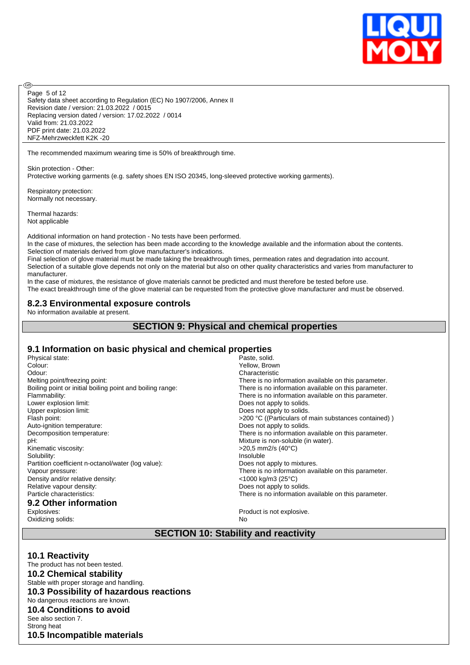

Safety data sheet according to Regulation (EC) No 1907/2006, Annex II Revision date / version: 21.03.2022 / 0015 Replacing version dated / version: 17.02.2022 / 0014 Valid from: 21.03.2022 PDF print date: 21.03.2022 NFZ-Mehrzweckfett K2K -20 Page 5 of 12

The recommended maximum wearing time is 50% of breakthrough time.

Skin protection - Other: Protective working garments (e.g. safety shoes EN ISO 20345, long-sleeved protective working garments).

Respiratory protection: Normally not necessary.

Thermal hazards: Not applicable

**®** 

Additional information on hand protection - No tests have been performed.

In the case of mixtures, the selection has been made according to the knowledge available and the information about the contents. Selection of materials derived from glove manufacturer's indications.

Final selection of glove material must be made taking the breakthrough times, permeation rates and degradation into account. Selection of a suitable glove depends not only on the material but also on other quality characteristics and varies from manufacturer to manufacturer.

In the case of mixtures, the resistance of glove materials cannot be predicted and must therefore be tested before use. The exact breakthrough time of the glove material can be requested from the protective glove manufacturer and must be observed.

#### **8.2.3 Environmental exposure controls**

No information available at present.

#### **SECTION 9: Physical and chemical properties**

#### **9.1 Information on basic physical and chemical properties**

| Physical state:                                           | Paste, solid.                                        |
|-----------------------------------------------------------|------------------------------------------------------|
| Colour:                                                   | Yellow, Brown                                        |
| Odour:                                                    | Characteristic                                       |
| Melting point/freezing point:                             | There is no information available on this parameter. |
| Boiling point or initial boiling point and boiling range: | There is no information available on this parameter. |
| Flammability:                                             | There is no information available on this parameter. |
| Lower explosion limit:                                    | Does not apply to solids.                            |
| Upper explosion limit:                                    | Does not apply to solids.                            |
| Flash point:                                              | >200 °C ((Particulars of main substances contained)) |
| Auto-ignition temperature:                                | Does not apply to solids.                            |
| Decomposition temperature:                                | There is no information available on this parameter. |
| pH:                                                       | Mixture is non-soluble (in water).                   |
| Kinematic viscosity:                                      | >20,5 mm2/s (40°C)                                   |
| Solubility:                                               | Insoluble                                            |
| Partition coefficient n-octanol/water (log value):        | Does not apply to mixtures.                          |
| Vapour pressure:                                          | There is no information available on this parameter. |
| Density and/or relative density:                          | $<$ 1000 kg/m3 (25°C)                                |
| Relative vapour density:                                  | Does not apply to solids.                            |
| Particle characteristics:                                 | There is no information available on this parameter. |
| 9.2 Other information                                     |                                                      |
| Explosives:                                               | Product is not explosive.                            |
| Oxidizing solids:                                         | No                                                   |

## **SECTION 10: Stability and reactivity**

**10.1 Reactivity** The product has not been tested. **10.2 Chemical stability** Stable with proper storage and handling. **10.3 Possibility of hazardous reactions** No dangerous reactions are known. **10.4 Conditions to avoid** See also section 7. Strong heat **10.5 Incompatible materials**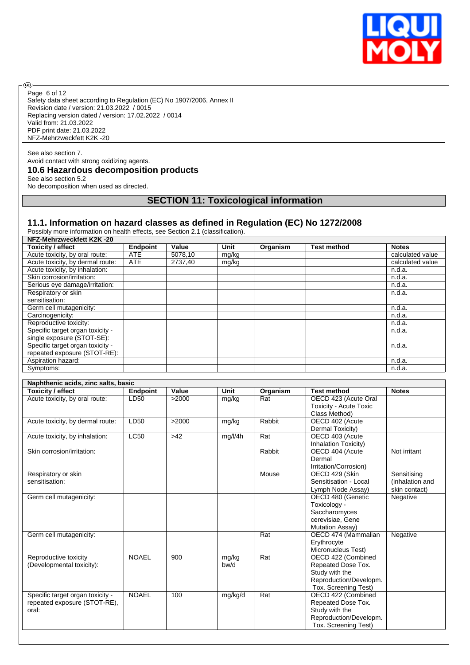

Safety data sheet according to Regulation (EC) No 1907/2006, Annex II Revision date / version: 21.03.2022 / 0015 Replacing version dated / version: 17.02.2022 / 0014 Valid from: 21.03.2022 PDF print date: 21.03.2022 NFZ-Mehrzweckfett K2K -20 Page 6 of 12

#### See also section 7. Avoid contact with strong oxidizing agents. **10.6 Hazardous decomposition products** See also section 5.2

No decomposition when used as directed.

®

# **SECTION 11: Toxicological information**

#### **11.1. Information on hazard classes as defined in Regulation (EC) No 1272/2008**

Possibly more information on health effects, see Section 2.1 (classification).

| NFZ-Mehrzweckfett K2K-20         |            |         |       |          |                    |                  |
|----------------------------------|------------|---------|-------|----------|--------------------|------------------|
| <b>Toxicity / effect</b>         | Endpoint   | Value   | Unit  | Organism | <b>Test method</b> | <b>Notes</b>     |
| Acute toxicity, by oral route:   | <b>ATE</b> | 5078,10 | mg/kg |          |                    | calculated value |
| Acute toxicity, by dermal route: | <b>ATE</b> | 2737.40 | mg/kg |          |                    | calculated value |
| Acute toxicity, by inhalation:   |            |         |       |          |                    | n.d.a.           |
| Skin corrosion/irritation:       |            |         |       |          |                    | n.d.a.           |
| Serious eye damage/irritation:   |            |         |       |          |                    | n.d.a.           |
| Respiratory or skin              |            |         |       |          |                    | n.d.a.           |
| sensitisation:                   |            |         |       |          |                    |                  |
| Germ cell mutagenicity:          |            |         |       |          |                    | n.d.a.           |
| Carcinogenicity:                 |            |         |       |          |                    | n.d.a.           |
| Reproductive toxicity:           |            |         |       |          |                    | n.d.a.           |
| Specific target organ toxicity - |            |         |       |          |                    | n.d.a.           |
| single exposure (STOT-SE):       |            |         |       |          |                    |                  |
| Specific target organ toxicity - |            |         |       |          |                    | n.d.a.           |
| repeated exposure (STOT-RE):     |            |         |       |          |                    |                  |
| Aspiration hazard:               |            |         |       |          |                    | n.d.a.           |
| Symptoms:                        |            |         |       |          |                    | n.d.a.           |

| Naphthenic acids, zinc salts, basic |                 |       |         |          |                               |                 |  |  |
|-------------------------------------|-----------------|-------|---------|----------|-------------------------------|-----------------|--|--|
| Toxicity / effect                   | <b>Endpoint</b> | Value | Unit    | Organism | <b>Test method</b>            | <b>Notes</b>    |  |  |
| Acute toxicity, by oral route:      | LD50            | >2000 | mg/kg   | Rat      | OECD 423 (Acute Oral          |                 |  |  |
|                                     |                 |       |         |          | <b>Toxicity - Acute Toxic</b> |                 |  |  |
|                                     |                 |       |         |          | Class Method)                 |                 |  |  |
| Acute toxicity, by dermal route:    | LD50            | >2000 | mg/kg   | Rabbit   | OECD 402 (Acute               |                 |  |  |
|                                     |                 |       |         |          | Dermal Toxicity)              |                 |  |  |
| Acute toxicity, by inhalation:      | <b>LC50</b>     | $>42$ | mg/l/4h | Rat      | OECD 403 (Acute               |                 |  |  |
|                                     |                 |       |         |          | Inhalation Toxicity)          |                 |  |  |
| Skin corrosion/irritation:          |                 |       |         | Rabbit   | OECD 404 (Acute               | Not irritant    |  |  |
|                                     |                 |       |         |          | Dermal                        |                 |  |  |
|                                     |                 |       |         |          | Irritation/Corrosion)         |                 |  |  |
| Respiratory or skin                 |                 |       |         | Mouse    | OECD 429 (Skin                | Sensitising     |  |  |
| sensitisation:                      |                 |       |         |          | Sensitisation - Local         | (inhalation and |  |  |
|                                     |                 |       |         |          | Lymph Node Assay)             | skin contact)   |  |  |
| Germ cell mutagenicity:             |                 |       |         |          | OECD 480 (Genetic             | Negative        |  |  |
|                                     |                 |       |         |          | Toxicology -                  |                 |  |  |
|                                     |                 |       |         |          | Saccharomyces                 |                 |  |  |
|                                     |                 |       |         |          | cerevisiae, Gene              |                 |  |  |
|                                     |                 |       |         |          | Mutation Assay)               |                 |  |  |
| Germ cell mutagenicity:             |                 |       |         | Rat      | OECD 474 (Mammalian           | Negative        |  |  |
|                                     |                 |       |         |          | Erythrocyte                   |                 |  |  |
|                                     |                 |       |         |          | Micronucleus Test)            |                 |  |  |
| Reproductive toxicity               | <b>NOAEL</b>    | 900   | mg/kg   | Rat      | OECD 422 (Combined            |                 |  |  |
| (Developmental toxicity):           |                 |       | bw/d    |          | Repeated Dose Tox.            |                 |  |  |
|                                     |                 |       |         |          | Study with the                |                 |  |  |
|                                     |                 |       |         |          | Reproduction/Developm.        |                 |  |  |
|                                     |                 |       |         |          | Tox. Screening Test)          |                 |  |  |
| Specific target organ toxicity -    | <b>NOAEL</b>    | 100   | mg/kg/d | Rat      | OECD 422 (Combined            |                 |  |  |
| repeated exposure (STOT-RE),        |                 |       |         |          | Repeated Dose Tox.            |                 |  |  |
| oral:                               |                 |       |         |          | Study with the                |                 |  |  |
|                                     |                 |       |         |          | Reproduction/Developm.        |                 |  |  |
|                                     |                 |       |         |          | Tox. Screening Test)          |                 |  |  |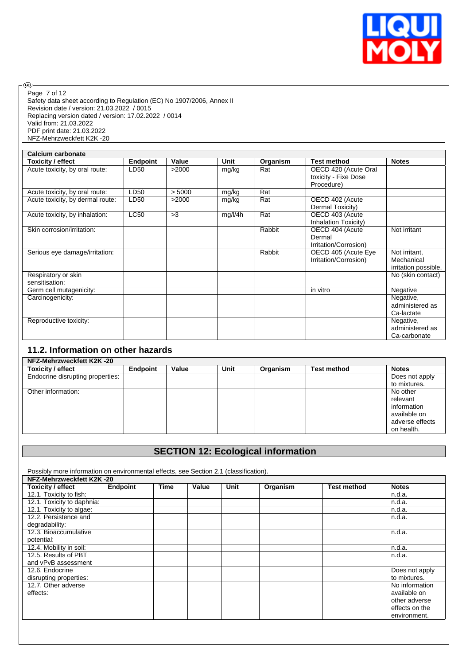

 $\circledcirc$ Page 7 of 12

Safety data sheet according to Regulation (EC) No 1907/2006, Annex II Revision date / version: 21.03.2022 / 0015 Replacing version dated / version: 17.02.2022 / 0014 Valid from: 21.03.2022 PDF print date: 21.03.2022 NFZ-Mehrzweckfett K2K -20

| Calcium carbonate                     |                 |        |             |          |                                                            |                                                     |
|---------------------------------------|-----------------|--------|-------------|----------|------------------------------------------------------------|-----------------------------------------------------|
| <b>Toxicity / effect</b>              | <b>Endpoint</b> | Value  | <b>Unit</b> | Organism | <b>Test method</b>                                         | <b>Notes</b>                                        |
| Acute toxicity, by oral route:        | LD50            | >2000  | mg/kg       | Rat      | OECD 420 (Acute Oral<br>toxicity - Fixe Dose<br>Procedure) |                                                     |
| Acute toxicity, by oral route:        | LD50            | > 5000 | mg/kg       | Rat      |                                                            |                                                     |
| Acute toxicity, by dermal route:      | LD50            | >2000  | mg/kg       | Rat      | OECD 402 (Acute<br>Dermal Toxicity)                        |                                                     |
| Acute toxicity, by inhalation:        | LC50            | >3     | mg/l/4h     | Rat      | OECD 403 (Acute<br>Inhalation Toxicity)                    |                                                     |
| Skin corrosion/irritation:            |                 |        |             | Rabbit   | OECD 404 (Acute<br>Dermal<br>Irritation/Corrosion)         | Not irritant                                        |
| Serious eye damage/irritation:        |                 |        |             | Rabbit   | OECD 405 (Acute Eye<br>Irritation/Corrosion)               | Not irritant.<br>Mechanical<br>irritation possible. |
| Respiratory or skin<br>sensitisation: |                 |        |             |          |                                                            | No (skin contact)                                   |
| Germ cell mutagenicity:               |                 |        |             |          | in vitro                                                   | Negative                                            |
| Carcinogenicity:                      |                 |        |             |          |                                                            | Negative,<br>administered as<br>Ca-lactate          |
| Reproductive toxicity:                |                 |        |             |          |                                                            | Negative,<br>administered as<br>Ca-carbonate        |

# **11.2. Information on other hazards**

| NFZ-Mehrzweckfett K2K-20         |          |       |      |          |                    |                 |  |
|----------------------------------|----------|-------|------|----------|--------------------|-----------------|--|
| Toxicity / effect                | Endpoint | Value | Unit | Organism | <b>Test method</b> | <b>Notes</b>    |  |
| Endocrine disrupting properties: |          |       |      |          |                    | Does not apply  |  |
|                                  |          |       |      |          |                    | to mixtures.    |  |
| Other information:               |          |       |      |          |                    | No other        |  |
|                                  |          |       |      |          |                    | relevant        |  |
|                                  |          |       |      |          |                    | information     |  |
|                                  |          |       |      |          |                    | available on    |  |
|                                  |          |       |      |          |                    | adverse effects |  |
|                                  |          |       |      |          |                    | on health.      |  |

# **SECTION 12: Ecological information**

Possibly more information on environmental effects, see Section 2.1 (classification).

| NFZ-Mehrzweckfett K2K-20   |          |      |       |      |          |                    |                |  |
|----------------------------|----------|------|-------|------|----------|--------------------|----------------|--|
| <b>Toxicity / effect</b>   | Endpoint | Time | Value | Unit | Organism | <b>Test method</b> | <b>Notes</b>   |  |
| 12.1. Toxicity to fish:    |          |      |       |      |          |                    | n.d.a.         |  |
| 12.1. Toxicity to daphnia: |          |      |       |      |          |                    | n.d.a.         |  |
| 12.1. Toxicity to algae:   |          |      |       |      |          |                    | n.d.a.         |  |
| 12.2. Persistence and      |          |      |       |      |          |                    | n.d.a.         |  |
| degradability:             |          |      |       |      |          |                    |                |  |
| 12.3. Bioaccumulative      |          |      |       |      |          |                    | n.d.a.         |  |
| potential:                 |          |      |       |      |          |                    |                |  |
| 12.4. Mobility in soil:    |          |      |       |      |          |                    | n.d.a.         |  |
| 12.5. Results of PBT       |          |      |       |      |          |                    | n.d.a.         |  |
| and vPvB assessment        |          |      |       |      |          |                    |                |  |
| 12.6. Endocrine            |          |      |       |      |          |                    | Does not apply |  |
| disrupting properties:     |          |      |       |      |          |                    | to mixtures.   |  |
| 12.7. Other adverse        |          |      |       |      |          |                    | No information |  |
| effects:                   |          |      |       |      |          |                    | available on   |  |
|                            |          |      |       |      |          |                    | other adverse  |  |
|                            |          |      |       |      |          |                    | effects on the |  |
|                            |          |      |       |      |          |                    | environment.   |  |
|                            |          |      |       |      |          |                    |                |  |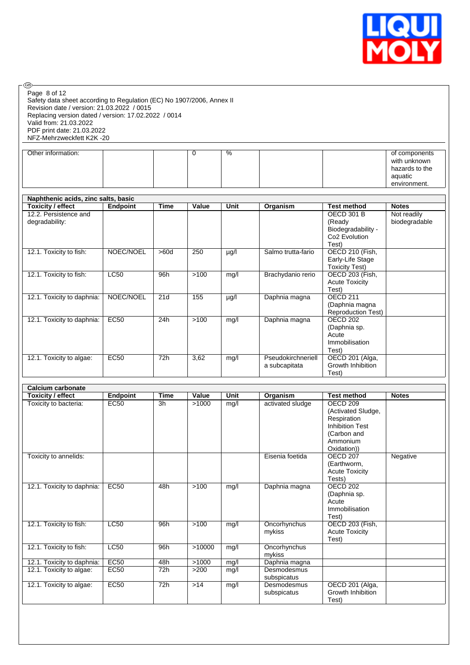

| ை.<br>Page 8 of 12<br>Safety data sheet according to Regulation (EC) No 1907/2006, Annex II<br>Revision date / version: 21.03.2022 / 0015<br>Replacing version dated / version: 17.02.2022 / 0014<br>Valid from: 21.03.2022<br>PDF print date: 21.03.2022<br>NFZ-Mehrzweckfett K2K-20 |                  |                 |             |                          |                                     |                                                                                                                              |                                                                            |
|---------------------------------------------------------------------------------------------------------------------------------------------------------------------------------------------------------------------------------------------------------------------------------------|------------------|-----------------|-------------|--------------------------|-------------------------------------|------------------------------------------------------------------------------------------------------------------------------|----------------------------------------------------------------------------|
| Other information:                                                                                                                                                                                                                                                                    |                  |                 | $\mathbf 0$ | $\overline{\frac{9}{6}}$ |                                     |                                                                                                                              | of components<br>with unknown<br>hazards to the<br>aquatic<br>environment. |
|                                                                                                                                                                                                                                                                                       |                  |                 |             |                          |                                     |                                                                                                                              |                                                                            |
| Naphthenic acids, zinc salts, basic<br><b>Toxicity / effect</b>                                                                                                                                                                                                                       | Endpoint         | <b>Time</b>     | Value       | Unit                     | Organism                            | <b>Test method</b>                                                                                                           | <b>Notes</b>                                                               |
| 12.2. Persistence and<br>degradability:                                                                                                                                                                                                                                               |                  |                 |             |                          |                                     | <b>OECD 301 B</b><br>(Ready<br>Biodegradability -<br>Co2 Evolution<br>Test)                                                  | Not readily<br>biodegradable                                               |
| 12.1. Toxicity to fish:                                                                                                                                                                                                                                                               | NOEC/NOEL        | >60d            | 250         | µg/l                     | Salmo trutta-fario                  | OECD 210 (Fish,<br>Early-Life Stage<br><b>Toxicity Test)</b>                                                                 |                                                                            |
| 12.1. Toxicity to fish:                                                                                                                                                                                                                                                               | LC50             | 96h             | >100        | mg/l                     | Brachydanio rerio                   | <b>OECD 203 (Fish,</b><br><b>Acute Toxicity</b><br>Test)                                                                     |                                                                            |
| 12.1. Toxicity to daphnia:                                                                                                                                                                                                                                                            | NOEC/NOEL        | 21d             | 155         | µg/l                     | Daphnia magna                       | <b>OECD 211</b><br>(Daphnia magna<br><b>Reproduction Test)</b>                                                               |                                                                            |
| 12.1. Toxicity to daphnia:                                                                                                                                                                                                                                                            | <b>EC50</b>      | 24h             | $>100$      | mg/l                     | Daphnia magna                       | <b>OECD 202</b><br>(Daphnia sp.<br>Acute<br>Immobilisation<br>Test)                                                          |                                                                            |
| 12.1. Toxicity to algae:                                                                                                                                                                                                                                                              | <b>EC50</b>      | 72h             | 3,62        | mg/l                     | Pseudokirchneriell<br>a subcapitata | OECD 201 (Alga,<br>Growth Inhibition<br>Test)                                                                                |                                                                            |
| <b>Calcium carbonate</b>                                                                                                                                                                                                                                                              |                  |                 |             |                          |                                     |                                                                                                                              |                                                                            |
| <b>Toxicity / effect</b>                                                                                                                                                                                                                                                              | Endpoint         | <b>Time</b>     | Value       | Unit                     | Organism                            | <b>Test method</b>                                                                                                           | <b>Notes</b>                                                               |
| Toxicity to bacteria:                                                                                                                                                                                                                                                                 | EC <sub>50</sub> | $\overline{3h}$ | >1000       | mg/l                     | activated sludge                    | OECD <sub>209</sub><br>(Activated Sludge,<br>Respiration<br><b>Inhibition Test</b><br>(Carbon and<br>Ammonium<br>Oxidation)) |                                                                            |
| Toxicity to annelids:                                                                                                                                                                                                                                                                 |                  |                 |             |                          | Eisenia foetida                     | <b>OECD 207</b><br>(Earthworm,<br><b>Acute Toxicity</b><br>Tests)                                                            | Negative                                                                   |
| 12.1. Toxicity to daphnia:                                                                                                                                                                                                                                                            | EC50             | 48h             | $>100$      | mg/l                     | Daphnia magna                       | <b>OECD 202</b><br>(Daphnia sp.<br>Acute<br>Immobilisation<br>Test)                                                          |                                                                            |
| 12.1. Toxicity to fish:                                                                                                                                                                                                                                                               | LC50             | 96h             | $>100$      | mg/l                     | Oncorhynchus<br>mykiss              | OECD 203 (Fish,<br><b>Acute Toxicity</b><br>Test)                                                                            |                                                                            |
| 12.1. Toxicity to fish:                                                                                                                                                                                                                                                               | LC50             | 96h             | >10000      | mg/l                     | Oncorhynchus<br>mykiss              |                                                                                                                              |                                                                            |
| 12.1. Toxicity to daphnia:                                                                                                                                                                                                                                                            | EC50             | 48h             | >1000       | mg/l                     | Daphnia magna                       |                                                                                                                              |                                                                            |
| 12.1. Toxicity to algae:                                                                                                                                                                                                                                                              | EC50             | 72h             | $>200$      | mg/l                     | Desmodesmus<br>subspicatus          |                                                                                                                              |                                                                            |
| 12.1. Toxicity to algae:                                                                                                                                                                                                                                                              | EC50             | 72h             | $>14$       | mg/l                     | Desmodesmus<br>subspicatus          | OECD 201 (Alga,<br>Growth Inhibition<br>Test)                                                                                |                                                                            |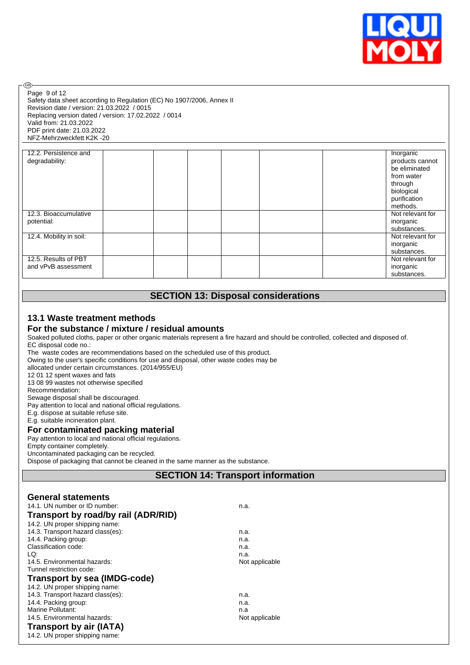

Safety data sheet according to Regulation (EC) No 1907/2006, Annex II Revision date / version: 21.03.2022 / 0015 Replacing version dated / version: 17.02.2022 / 0014 Valid from: 21.03.2022 PDF print date: 21.03.2022 NFZ-Mehrzweckfett K2K -20 Page 9 of 12

| 12.2. Persistence and   | Inorganic        |  |
|-------------------------|------------------|--|
| degradability:          | products cannot  |  |
|                         | be eliminated    |  |
|                         | from water       |  |
|                         | through          |  |
|                         |                  |  |
|                         | biological       |  |
|                         | purification     |  |
|                         | methods.         |  |
| 12.3. Bioaccumulative   | Not relevant for |  |
| potential:              | inorganic        |  |
|                         | substances.      |  |
| 12.4. Mobility in soil: | Not relevant for |  |
|                         | inorganic        |  |
|                         | substances.      |  |
| 12.5. Results of PBT    | Not relevant for |  |
| and vPvB assessment     | inorganic        |  |
|                         | substances.      |  |

# **SECTION 13: Disposal considerations**

# **13.1 Waste treatment methods**

### **For the substance / mixture / residual amounts**

Soaked polluted cloths, paper or other organic materials represent a fire hazard and should be controlled, collected and disposed of. EC disposal code no.:

The waste codes are recommendations based on the scheduled use of this product.

Owing to the user's specific conditions for use and disposal, other waste codes may be

allocated under certain circumstances. (2014/955/EU)

12 01 12 spent waxes and fats

13 08 99 wastes not otherwise specified Recommendation:

**®** 

Sewage disposal shall be discouraged.

Pay attention to local and national official regulations.

E.g. dispose at suitable refuse site.

E.g. suitable incineration plant.

#### **For contaminated packing material**

Pay attention to local and national official regulations.

Empty container completely.

Uncontaminated packaging can be recycled.

Dispose of packaging that cannot be cleaned in the same manner as the substance.

# **SECTION 14: Transport information**

| <b>General statements</b>           |                |  |
|-------------------------------------|----------------|--|
| 14.1. UN number or ID number:       | n.a.           |  |
| Transport by road/by rail (ADR/RID) |                |  |
| 14.2. UN proper shipping name:      |                |  |
| 14.3. Transport hazard class(es):   | n.a.           |  |
| 14.4. Packing group:                | n.a.           |  |
| Classification code:                | n.a.           |  |
| LQ:                                 | n.a.           |  |
| 14.5. Environmental hazards:        | Not applicable |  |
| Tunnel restriction code:            |                |  |
| <b>Transport by sea (IMDG-code)</b> |                |  |
| 14.2. UN proper shipping name:      |                |  |
| 14.3. Transport hazard class(es):   | n.a.           |  |
| 14.4. Packing group:                | n.a.           |  |
| Marine Pollutant:                   | n.a            |  |
| 14.5. Environmental hazards:        | Not applicable |  |
| Transport by air (IATA)             |                |  |
| 14.2. UN proper shipping name:      |                |  |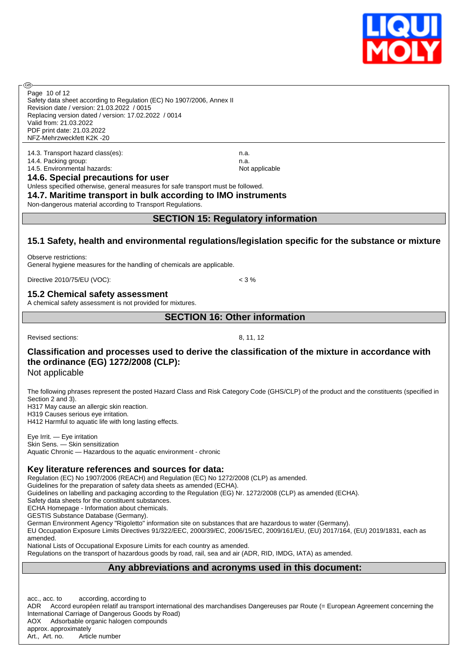

Safety data sheet according to Regulation (EC) No 1907/2006, Annex II Revision date / version: 21.03.2022 / 0015 Replacing version dated / version: 17.02.2022 / 0014 Valid from: 21.03.2022 PDF print date: 21.03.2022 NFZ-Mehrzweckfett K2K -20 Page 10 of 12

14.3. Transport hazard class(es): n.a. 14.4. Packing group: natural hazards: new state of the state of the state of the natural natural natural natur<br>14.5. Environmental hazards: natural natural natural natural natural natural natural natural natural natural n 14.5. Environmental hazards:

അ

#### **14.6. Special precautions for user**

Unless specified otherwise, general measures for safe transport must be followed.

**14.7. Maritime transport in bulk according to IMO instruments**

Non-dangerous material according to Transport Regulations.

### **SECTION 15: Regulatory information**

### **15.1 Safety, health and environmental regulations/legislation specific for the substance or mixture**

Observe restrictions: General hygiene measures for the handling of chemicals are applicable.

Directive 2010/75/EU (VOC): < 3 %

#### **15.2 Chemical safety assessment**

A chemical safety assessment is not provided for mixtures.

**SECTION 16: Other information**

Revised sections: 8, 11, 12

# **Classification and processes used to derive the classification of the mixture in accordance with the ordinance (EG) 1272/2008 (CLP):**

Not applicable

The following phrases represent the posted Hazard Class and Risk Category Code (GHS/CLP) of the product and the constituents (specified in Section 2 and 3). H317 May cause an allergic skin reaction. H319 Causes serious eye irritation.

H412 Harmful to aquatic life with long lasting effects.

Eye Irrit. — Eye irritation Skin Sens. — Skin sensitization Aquatic Chronic — Hazardous to the aquatic environment - chronic

#### **Key literature references and sources for data:**

Regulation (EC) No 1907/2006 (REACH) and Regulation (EC) No 1272/2008 (CLP) as amended.

Guidelines for the preparation of safety data sheets as amended (ECHA).

Guidelines on labelling and packaging according to the Regulation (EG) Nr. 1272/2008 (CLP) as amended (ECHA).

Safety data sheets for the constituent substances. ECHA Homepage - Information about chemicals.

GESTIS Substance Database (Germany).

German Environment Agency "Rigoletto" information site on substances that are hazardous to water (Germany).

EU Occupation Exposure Limits Directives 91/322/EEC, 2000/39/EC, 2006/15/EC, 2009/161/EU, (EU) 2017/164, (EU) 2019/1831, each as amended.

National Lists of Occupational Exposure Limits for each country as amended.

Regulations on the transport of hazardous goods by road, rail, sea and air (ADR, RID, IMDG, IATA) as amended.

#### **Any abbreviations and acronyms used in this document:**

acc., acc. to according, according to ADR Accord européen relatif au transport international des marchandises Dangereuses par Route (= European Agreement concerning the International Carriage of Dangerous Goods by Road) AOX Adsorbable organic halogen compounds approx. approximately Art., Art. no. Article number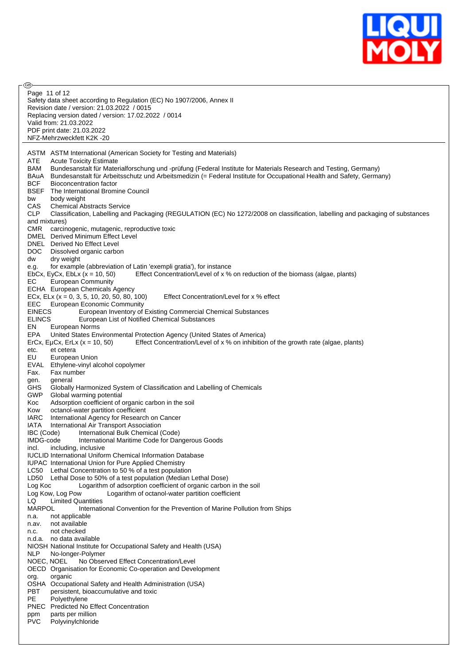

| رەب                                                                                                                                             |
|-------------------------------------------------------------------------------------------------------------------------------------------------|
| Page 11 of 12<br>Safety data sheet according to Regulation (EC) No 1907/2006, Annex II                                                          |
| Revision date / version: 21.03.2022 / 0015                                                                                                      |
| Replacing version dated / version: 17.02.2022 / 0014                                                                                            |
| Valid from: 21.03.2022                                                                                                                          |
| PDF print date: 21.03.2022                                                                                                                      |
| NFZ-Mehrzweckfett K2K-20                                                                                                                        |
|                                                                                                                                                 |
| ASTM ASTM International (American Society for Testing and Materials)                                                                            |
| ATE<br><b>Acute Toxicity Estimate</b>                                                                                                           |
| BAM<br>Bundesanstalt für Materialforschung und -prüfung (Federal Institute for Materials Research and Testing, Germany)                         |
| Bundesanstalt für Arbeitsschutz und Arbeitsmedizin (= Federal Institute for Occupational Health and Safety, Germany)<br>BAuA                    |
| <b>BCF</b><br><b>Bioconcentration factor</b>                                                                                                    |
| BSEF<br>The International Bromine Council                                                                                                       |
| body weight<br>bw<br>CAS                                                                                                                        |
| <b>Chemical Abstracts Service</b><br><b>CLP</b>                                                                                                 |
| Classification, Labelling and Packaging (REGULATION (EC) No 1272/2008 on classification, labelling and packaging of substances<br>and mixtures) |
| <b>CMR</b><br>carcinogenic, mutagenic, reproductive toxic                                                                                       |
| DMEL Derived Minimum Effect Level                                                                                                               |
| DNEL Derived No Effect Level                                                                                                                    |
| DOC.<br>Dissolved organic carbon                                                                                                                |
| dw<br>dry weight                                                                                                                                |
| for example (abbreviation of Latin 'exempli gratia'), for instance<br>e.g.                                                                      |
| EbCx, EyCx, EbLx $(x = 10, 50)$<br>Effect Concentration/Level of x % on reduction of the biomass (algae, plants)                                |
| EС<br>European Community                                                                                                                        |
| ECHA European Chemicals Agency                                                                                                                  |
| ECx, ELx ( $x = 0, 3, 5, 10, 20, 50, 80, 100$ )<br>Effect Concentration/Level for x % effect<br><b>European Economic Community</b>              |
| EEC.<br><b>EINECS</b><br>European Inventory of Existing Commercial Chemical Substances                                                          |
| <b>ELINCS</b><br>European List of Notified Chemical Substances                                                                                  |
| EN<br>European Norms                                                                                                                            |
| EPA<br>United States Environmental Protection Agency (United States of America)                                                                 |
| Effect Concentration/Level of x % on inhibition of the growth rate (algae, plants)<br>ErCx, EµCx, ErLx $(x = 10, 50)$                           |
| et cetera<br>etc.                                                                                                                               |
| EU<br>European Union                                                                                                                            |
| EVAL<br>Ethylene-vinyl alcohol copolymer                                                                                                        |
| Fax.<br>Fax number<br>general<br>gen.                                                                                                           |
| <b>GHS</b><br>Globally Harmonized System of Classification and Labelling of Chemicals                                                           |
| <b>GWP</b><br>Global warming potential                                                                                                          |
| Adsorption coefficient of organic carbon in the soil<br>Koc                                                                                     |
| octanol-water partition coefficient<br>Kow                                                                                                      |
| <b>IARC</b><br>International Agency for Research on Cancer                                                                                      |
| IATA<br>International Air Transport Association                                                                                                 |
| IBC (Code)<br>International Bulk Chemical (Code)<br>IMDG-code<br>International Maritime Code for Dangerous Goods                                |
| including, inclusive<br>incl.                                                                                                                   |
| <b>IUCLID International Uniform Chemical Information Database</b>                                                                               |
| <b>IUPAC</b> International Union for Pure Applied Chemistry                                                                                     |
| Lethal Concentration to 50 % of a test population<br>LC50                                                                                       |
| LD50 Lethal Dose to 50% of a test population (Median Lethal Dose)                                                                               |
| Logarithm of adsorption coefficient of organic carbon in the soil<br>Log Koc                                                                    |
| Log Kow, Log Pow<br>Logarithm of octanol-water partition coefficient                                                                            |
| <b>Limited Quantities</b><br>LQ                                                                                                                 |
| <b>MARPOL</b><br>International Convention for the Prevention of Marine Pollution from Ships<br>not applicable<br>n.a.                           |
| not available<br>n.av.                                                                                                                          |
| not checked<br>n.c.                                                                                                                             |
| n.d.a. no data available                                                                                                                        |
| NIOSH National Institute for Occupational Safety and Health (USA)                                                                               |
| <b>NLP</b><br>No-longer-Polymer                                                                                                                 |
| NOEC, NOEL<br>No Observed Effect Concentration/Level                                                                                            |
| OECD Organisation for Economic Co-operation and Development                                                                                     |
| org.<br>organic<br>OSHA Occupational Safety and Health Administration (USA)                                                                     |
| PBT<br>persistent, bioaccumulative and toxic                                                                                                    |
| PE<br>Polyethylene                                                                                                                              |
| <b>PNEC</b><br><b>Predicted No Effect Concentration</b>                                                                                         |
| parts per million<br>ppm                                                                                                                        |
| <b>PVC</b><br>Polyvinylchloride                                                                                                                 |
|                                                                                                                                                 |